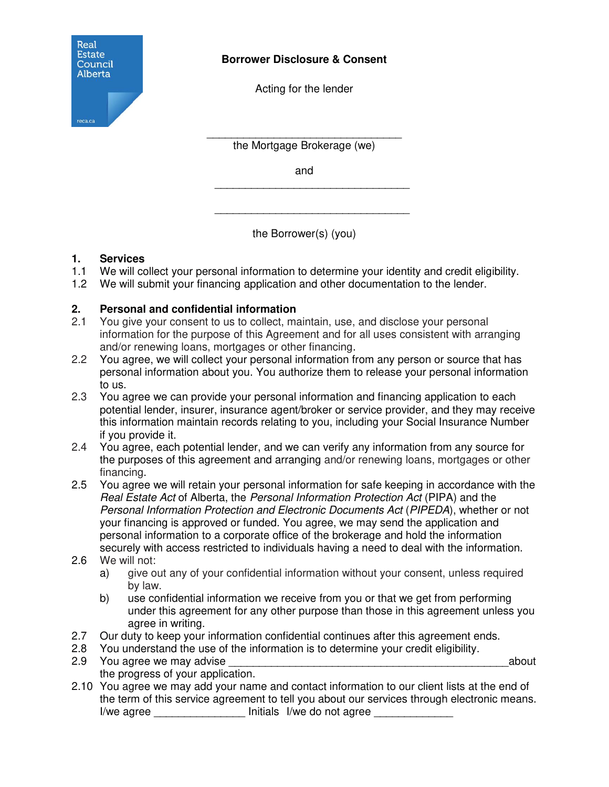

## **Borrower Disclosure & Consent**

Acting for the lender

\_\_\_\_\_\_\_\_\_\_\_\_\_\_\_\_\_\_\_\_\_\_\_\_\_\_\_\_\_\_\_\_ the Mortgage Brokerage (we)

and

\_\_\_\_\_\_\_\_\_\_\_\_\_\_\_\_\_\_\_\_\_\_\_\_\_\_\_\_\_\_\_\_

\_\_\_\_\_\_\_\_\_\_\_\_\_\_\_\_\_\_\_\_\_\_\_\_\_\_\_\_\_\_\_\_

the Borrower(s) (you)

# **1. Services**

- 1.1 We will collect your personal information to determine your identity and credit eligibility.
- 1.2 We will submit your financing application and other documentation to the lender.

# **2. Personal and confidential information**

- 2.1 You give your consent to us to collect, maintain, use, and disclose your personal information for the purpose of this Agreement and for all uses consistent with arranging and/or renewing loans, mortgages or other financing.
- 2.2 You agree, we will collect your personal information from any person or source that has personal information about you. You authorize them to release your personal information to us.
- 2.3 You agree we can provide your personal information and financing application to each potential lender, insurer, insurance agent/broker or service provider, and they may receive this information maintain records relating to you, including your Social Insurance Number if you provide it.
- 2.4 You agree, each potential lender, and we can verify any information from any source for the purposes of this agreement and arranging and/or renewing loans, mortgages or other financing.
- 2.5 You agree we will retain your personal information for safe keeping in accordance with the *Real Estate Act* of Alberta, the *Personal Information Protection Act* (PIPA) and the *Personal Information Protection and Electronic Documents Act* (*PIPEDA*), whether or not your financing is approved or funded. You agree, we may send the application and personal information to a corporate office of the brokerage and hold the information securely with access restricted to individuals having a need to deal with the information.
- 2.6 We will not:
	- a) give out any of your confidential information without your consent, unless required by law.
	- b) use confidential information we receive from you or that we get from performing under this agreement for any other purpose than those in this agreement unless you agree in writing.
- 2.7 Our duty to keep your information confidential continues after this agreement ends.
- 2.8 You understand the use of the information is to determine your credit eligibility.
- 2.9 You agree we may advise the state of the state of the state of the state of the state of the state of the state of the state of the state of the state of the state of the state of the state of the state of the state of the progress of your application.
- 2.10 You agree we may add your name and contact information to our client lists at the end of the term of this service agreement to tell you about our services through electronic means. I/we agree **I** and Initials I/we do not agree